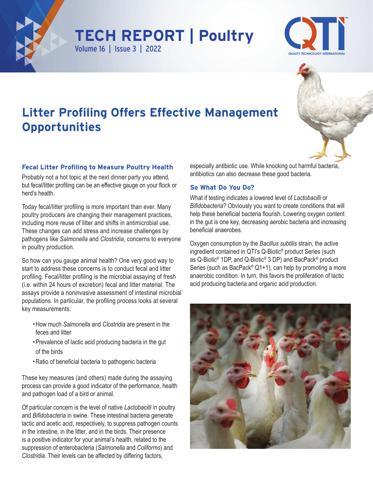





# **Litter Profiling Offers Effective Management Opportunities**

### **Fecal Litter Profiling to Measure Poultry Health**

Probably not a hot topic at the next dinner party you attend, but fecal/litter profiling can be an effective gauge on your flock or herd's health.

Today fecal/litter profiling is more important than ever. Many poultry producers are changing their management practices, including more reuse of litter and shifts in antimicrobial use. These changes can add stress and increase challenges by pathogens like *Salmonella* and *Clostridia*, concerns to everyone in poultry production.

So how can you gauge animal health? One very good way to start to address these concerns is to conduct fecal and litter profiling. Fecal/litter profiling is the microbial assaying of fresh (i.e. within 24 hours of excretion) fecal and litter material. The assays provide a noninvasive assessment of intestinal microbial populations. In particular, the profiling process looks at several key measurements:

- •How much *Salmonella* and *Clostridia* are present in the feces and litter
- •Prevalence of lactic acid producing bacteria in the gut of the birds
- •Ratio of beneficial bacteria to pathogenic bacteria

These key measures (and others) made during the assaying process can provide a good indicator of the performance, health and pathogen load of a bird or animal.

Of particular concern is the level of native *Lactobacilli* in poultry and *Bifidobacteria* in swine. These intestinal bacteria generate lactic and acetic acid, respectively, to suppress pathogen counts in the intestine, in the litter, and in the birds. Their presence is a positive indicator for your animal's health, related to the suppression of enterobacteria (*Salmonella* and *Coliforms*) and *Clostridia*. Their levels can be affected by differing factors,

especially antibiotic use. While knocking out harmful bacteria, antibiotics can also decrease these good bacteria.

#### **So What Do You Do?**

What if testing indicates a lowered level of *Lactobacilli* or *Bifidobacteria*? Obviously you want to create conditions that will help these beneficial bacteria flourish. Lowering oxygen content in the gut is one key, decreasing aerobic bacteria and increasing beneficial anaerobes.

Oxygen consumption by the *Bacillus subtilis* strain, the active ingredient contained in QTI's Q-Biotic® product Series (such as Q-Biotic® 1DP, and Q-Biotic® 3 DP) and BacPack® product Series (such as BacPack® Q1+1), can help by promoting a more anaerobic condition. In turn, this favors the proliferation of lactic acid producing bacteria and organic acid production.